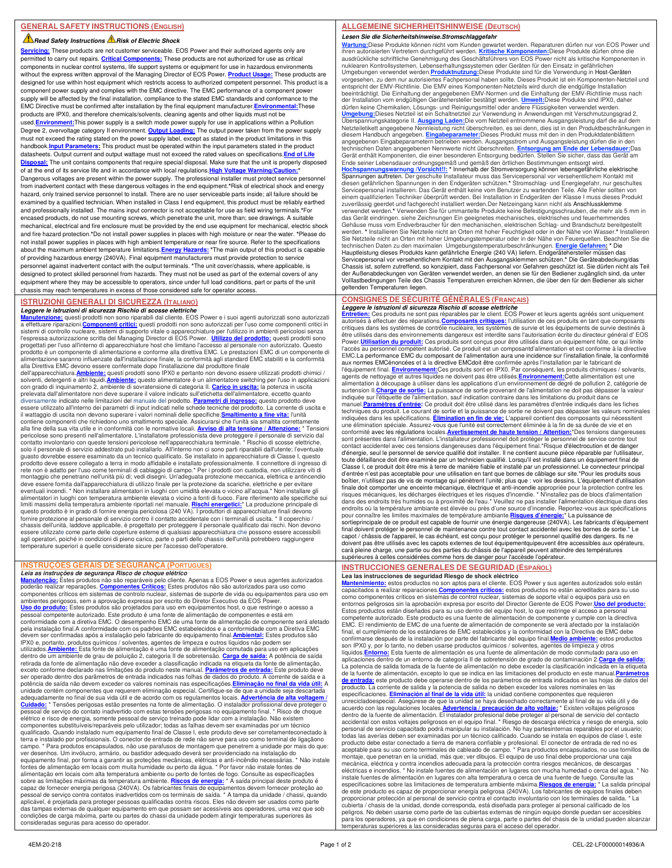## **Read Safety Instructions A Risk of Electric Shock**

**Servicing:** These products are not customer serviceable. EOS Power and their authorized agents only are permitted to carry out repairs. **Critical Components:** These products are not authorized for use as critical components in nuclear control systems, life support systems or equipment for use in hazardous environments without the express written approval of the Managing Director of EOS Power. **Product Usage:** These products are designed for use within host equipment which restricts access to authorized competent personnel. This product is a component power supply and complies with the EMC directive. The EMC performance of a component power supply will be affected by the final installation, compliance to the stated EMC standards and conformance to the EMC Directive must be confirmed after installation by the final equipment manufacturer.**Environmental:**These products are IPX0, and therefore chemicals/solvents, cleaning agents and other liquids must not be used.**Environment:**This power supply is a switch mode power supply for use in applications within a Pollution Degree 2, overvoltage category II environment. **Output Loading:** The output power taken from the power supply must not exceed the rating stated on the power supply label, except as stated in the product limitations in this handbook.<mark>Input Parameters:</mark> This product must be operated within the input parameters stated in the product<br>datasheets. Output current and output wattage must not exceed the rated values on specifications.<mark>End of Life</mark> Disposal: The unit contains components that require special disposal. Make sure that the unit is properly dispo of at the end of its service life and in accordance with local regulations. High Voltage Warning/Cau Dangerous voltages are present within the power supply. The professional installer must protect service personnel from inadvertent contact with these dangerous voltages in the end equipment.**\***Risk of electrical shock and energy hazard, only trained service personnel to install. There are no user serviceable parts inside; all failure should be examined by a qualified technician. When installed in Class I end equipment, this product must be reliably earthed and professionally installed. The mains input connector is not acceptable for use as field wiring terminals.**\***For encased products, do not use mounting screws, which penetrate the unit, more than; see drawings. A suitable mechanical, electrical and fire enclosure must be provided by the end use equipment for mechanical, electric shock and fire hazard protection.**\***Do not install power supplies in places with high moisture or near the water. **\***Please do not install power supplies in places with high ambient temperature or near fire source. Refer to the specifications about the maximum ambient temperature limitations.**Energy Hazards: \***The main output of this product is capable of providing hazardous energy (240VA). Final equipment manufacturers must provide protection to service personnel against inadvertent contact with the output terminals. **\***The unit cover/chassis, where applicable, is designed to protect skilled personnel from hazards. They must not be used as part of the external covers of any equipment where they may be accessible to operators, since under full load conditions, part or parts of the unit chassis may reach temperatures in excess of those considered safe for operator access.

## **ISTRUZIONI GENERALI DI SICUREZZA (ITALIANO)**

**Leggere le istruzioni di sicurezza Rischio di scosse elettriche**<br><mark>Manutenzione:</mark> questi prodotti non sono riparabili dal cliente. EOS Power e i suoi agenti autorizzati sono autorizzati<br>a effettuare riparazioni.<u>Componenti</u> sistemi di controllo nucleare, sistemi di supporto vitale o apparecchiature per l'utilizzo in ambienti pericolosi senza<br>l'espressa autorizzazione scritta del Managing Director di EOS Power. **Utilizzo del prodotto:** questi progettati per l'uso all'interno di apparecchiature host che limitano l'accesso al personale non autorizzato. Questo prodotto è un componente di alimentazione e conforme alla direttiva EMC. Le prestazioni EMC di un componente di<br>alimentazione saranno influenzate dall'installazione finale, la conformità agli standard EMC stabiliti e la co alla Direttiva EMC devono essere confermate dopo l'installazione dal produttore finale dell'apparecchiatura.**Ambiente:** questi prodotti sono IPX0 e pertanto non devono essere utilizzati prodotti chimici /

solventi, detergenti e altri liquidi.**Ambiente:** questo alimentatore è un alimentatore switching per l'uso in applicazioni con grado di inquinamento 2, ambiente di sovratensione di categoria II. <mark>Carico in uscita:</mark> la potenza in uscita<br>prelevata dall'alimentatore non deve superare il valore indicato sull'etichetta dell'alimentatore, eccetto qu diversamente indicato nelle limitazioni del manuale del prodotto. <mark>Parametri di ingresso:</mark> questo prodotto deve<br>essere utilizzato all'interno dei parametri di input indicati nelle schede tecniche del prodotto. La corrente il wattaggio di uscita non devono superare i valori nominali delle specifiche.**Smaltimento a fine vita:** l'unità contiene componenti che richiedono uno smaltimento speciale. Assicurarsi che l'unità sia smaltita correttamente<br>alla fine della sua vita utile e in conformità con le normative locali. <u>Avviso di alta tensione / Attenzione:</u> guasto dovrebbe essere esaminato da un tecnico qualificato. Se installato in apparecchiature di Classe I, questo<br>prodotto deve essere collegato a terra in modo affidabile e installato professionalmente. Il connettore di in rete non è adatto per l'uso come terminali di cablaggio di campo.\* Per i prodotti con custodia, non utilizzare viti di<br>montaggio che penetrano nell'unità più di; vedi disegni. Un'adeguata protezione meccanica, elettrica e eventuali incendi. \* Non installare alimentatori in luoghi con umidità elevata o vicino all'acqua.\* Non installare gli<br>alimentatori in luoghi con temperatura ambiente elevata o vicino a fonti di fuoco. Fare riferimento all questo prodotto è in grado di fornire energia pericolosa (240 VA). I produttori di apparecchiature finali devono fornire protezione al personale di servizio contro il contatto accidentale con i terminali di uscita. \* Il coperchio / chassis dell'unità, laddove applicabile, è progettato per proteggere il personale qualificato dai rischi. Non devono<br>essere utilizzate come parte delle coperture esterne di qualsiasi apparecchiatura che possono essere acce agli operatori, poiché in condizioni di pieno carico, parte o parti dello chassis dell'unità potrebbero raggiungere temperature superiori a quelle considerate sicure per l'accesso dell'operatore.

## **INSTRUÇÕES GERAIS DE SEGURANÇA (PORTUGUES)**

*Leia as instruções de segurança Risco de choque elétrico*<br><u>Manutencão:</u> Estes produtos não são reparáveis pelo cliente. Apenas a EOS Power e seus agentes autorizados<br>poderão realizar reparações. Componentes Críticos: Este ambientes perigosos, sem a aprovação expressa por escrito do Diretor Executivo da EOS Power.<br><mark>Uso do produto:</mark> Estes produtos são projetados para uso em equipamentos host, o que restringe o acesso a pessoal competente autorizado. Este produto é uma fonte de alimentação de componentes e está em conformidade com a diretiva EMC. O desempenho EMC de uma fonte de alimentação de componente será afetado pela instalação final.A conformidade com os padrões EMC estabelecidos e a conformidade com a Diretiva EMC devem ser confirmadas após a instalação pelo fabricante do equipamento final.<mark>Ambiental:</mark> Estes produtos são<br>IPX0 e, portanto, produtos químicos / solventes, agentes de limpeza e outros líquidos não podem ser utilizados.<mark>Ambiente:</mark> Esta fonte de alimentação é uma fonte de alimentação comutada para uso em aplicações<br>dentro de um ambiente de grau de poluição 2, categoria II de sobretensão. <mark>Carga de saída:</mark> A potência de saída retirada da fonte de alimentação não deve exceder a classificação indicada na etiqueta da fonte de alimentação, exceto conforme declarado nas limitações do produto neste manual. **Parâmetros de entrada:** Este produto deve ser operado dentro dos parâmetros de entrada indicados nas folhas de dados do produto. A corrente de saída e a potência de saída não devem exceder os valores nominais nas especificações.**Eliminação no final da vida útil:** A unidade contém componentes que requerem eliminação especial. Certifique-se de que a unidade seja descartada<br>adequadamente no final de sua vida útil e de acordo com os regulamentos locais. <mark>Advertência de alta voltagem</mark> / **Cuidado:** \* Tensões perigosas estão presentes na fonte de alimentação. O instalador profissional deve proteger o pessoal de serviço do contato inadvertido com estas tensões perigosas no equipamento final. \* Risco de choque elétrico e risco de energia, somente pessoal de serviço treinado pode lidar com a instalação. Não existem componentes substituíveis/reparáveis pelo utilizador; todas as falhas devem ser examinadas por um técnico qualificado. Quando instalado num equipamento final de Classe I, este produto deve ser corretamenteconectado à terra e instalado por profissionais. O conector de entrada de rede não serve para uso como terminal de ligaçãono campo. \* Para produtos encapsulados, não use parafusos de montagem que penetrem a unidade por mais do que: ver desenhos. Um invólucro, armário, ou bastidor adequado deverá ser providenciado na instalação do equipamento final, por forma a garantir as proteções mecânicas, elétricas e anti-incêndio necessárias. \* Não instale<br>fontes de alimentação em locais com muita humidade ou perto da água. \* Por favor não instale fontes de alimentação em locais com alta temperatura ambiente ou perto de fontes de fogo. Consulte as especificações sobre as limitações máximas da temperatura ambiente. <mark>Riscos de energia:</mark> \* A saída principal deste produto é<br>capaz de fornecer energia perigosa (240VA). Os fabricantes finais de equipamentos devem fornecer proteção ao pessoal de serviço contra contatos inadvertidos com os terminais de saída. \* A tampa da unidade / chassi, quando aplicável, é projetada para proteger pessoas qualificadas contra riscos. Eles não devem ser usados como parte das tampas externas de qualquer equipamento em que possam ser acessíveis aos operadores, uma vez que sob condições de carga máxima, parte ou partes do chassi da unidade podem atingir temperaturas superiores às consideradas seguras para acesso do operador.

## **ALLGEMEINE SICHERHEITSHINWEISE (DEUTSCH)**

**Lesen Sie die Sicherheitshinweise.Stromschlaggefahr** <mark>Wartung:</mark>Diese Produkte können nicht vom Kunden gewartet werden. Reparaturen dürfen nur von EOS Power und<br>ihren autorisierten Vertretern durchgeführt werden. <u>Kritische Komponenten:</u>Diese Produkte dürfen ohne die<br>ausdrück

nuklearen Kontrollsystemen, Lebenserhaltungssystemen oder Geräten für den Einsatz in gefährlichen<br>Umgebungen verwendet werden.P<mark>roduktnutzung</mark>:Diese Produkte sind für die Verwendung in Host-Geräten<br>vorgesehen, zu dem nur a entspricht der EMV-Richtlinie. Die EMV eines Komponenten-Netzteils wird durch die endgütige Installation<br>beeinträchtigt. Die Einhaltung der angegebenen EMV-Normen und die Einhaltung der EMV-Richtlinie muss nach<br>der Instal Überspannungskategorie II. <u>Ausgang Laden:</u>Die vom Netzteil entnommene Ausgangsleistung darf die auf dem<br>Netzteiletikett angegebene Nennleistung nicht überschreiten, es sei denn, dies ist in den Produktbeschränkungen in diesem Handbuch angegeben. <mark>Eingabeparameter:</mark>Dieses Produkt muss mit den in den Produktdatenblättern<br>angegebenen Eingabeparametern betrieben werden. Ausgangsstrom und Ausgangsleistung dürfen die in den technischen Daten angegebenen Nennwerte nicht überschreiten. **Entsorgung am Ende der Lebensdauer**: Das<br>Gerät enthält Komponenten, die einer besonderen Entsorgung bedürfen. Stellen Sie sicher, dass das Gerät am<br>Ende seiner zuverlässig geerdet und fachgerecht installiert werden.Der Netzeingang kann nicht als Anschlussklemme verwendet werden.**\*** Verwenden Sie für ummantelte Produkte keine Befestigungsschrauben, die mehr als 5 mm in das Gerät eindringen. siehe Zeichnungen Ein geeignetes mechanisches, elektrisches und feuerhemmendes Gehäuse muss vom Endverbraucher für den mechanischen, elektrischen Schlag- und Brandschutz bereitgestellt<br>werden. \* Installieren Sie Netzteile nicht an Orten mit hoher Feuchtigkeit oder in der Nähe von Wasser.\* Installiere Sie Netzteile nicht an Orten mit hoher Umgebungstemperatur oder in der Nähe von Feuerquellen. Beachten Sie die<br>technischen Daten zu den maximalen Umgebungstemperaturbeschränkungen. <mark>Energie Gefahren: \*</mark> Die<br>Hauptleistung Servicepersonal vor versehentlichem Kontakt mit den Ausgangsklemmen schützen.\* Die Geräteabdeckung/das<br>Chassis ist, sofern zutreffend, so konzipiert, dass Fachpersonal vor Gefahren geschützt ist. Sie dürfen nicht als Teil der Außenabdeckungen von Geräten verwendet werden, an denen sie für den Bediener zugänglich sind, da unter Volllastbedingungen Teile des Chassis Temperaturen erreichen können, die über den für den Bediener als sicher geltenden Temperaturen liegen.

### **CONSIGNES DE SÉCURITÉ GÉNÉRALES (FRANÇAIS) Leggere le istruzioni di sicurezza Rischio di scosse elettriche**

Entretien: Ces produits ne sont pas réparables par le client. EOS Power et leurs agents agréés sont uniquement<br>autorisés à effectuer des réparations.Composants critiques: l'utilisation de ces produits en tant que composant critiques dans les systèmes de contrôle nucléaire, les systèmes de survie et les équipements de survie destinés à être utilisés dans des environnements dangereux est interdite sans l'autorisation écrite du directeur général d' EOS<br>Power.**Utilisation du produit:** Ces produits sont conçus pour être utilisés dans un équipement hôte, ce q l'accès au personnel compétent autorisé. Ce produit est un composantd'alimentation et est conforme à la directive EMC.La performance EMC du composant de l'alimentation aura une incidence sur l'installation finale, la conformité aux normes EMCénoncées et à la directive EMCdoit être confirmée après l'installation par le fabricant de l'équipement final. <u>Environnement:</u>Ces produits sont en IPX0. Par conséquent, les produits chimiques / solvants,<br>agents de nettoyage et autres liquides ne doivent pas être utilisés.<u>Environnement:</u>Cette alimentation est u alimentation à découpage à utiliser dans les applications d'un environnement de degré de pollution 2, catégorie de<br>surtension II. <mark>Charge de sortie:</mark> La puissance de sortie provenant de l'alimentation ne doit pas dépasser manuel.**Paramètres d'entrée:** Ce produit doit être utilisé dans les paramètres d'entrée indiqués dans les fiches techniques du produit. Le courant de sortie et la puissance de sortie ne doivent pas dépasser les valeurs nominales indiquées dans les spécifications. **Élimination en fin de vie:** L'appareil contient des composants qui nécessitent une élimination spéciale. Assurez-vous que l'unité est correctement éliminée à la fin de sa durée de vie et en<br>conformité avec les régulations locales.<mark>Avertissement de haute tension / Attention:</mark>\*Des tensions dangereuses sont présentes dans l'alimentation. L'installateur professionnel doit protéger le personnel de service contre tout<br>contact accidentel avec ces tensions dangereuses dans l'équipement final.\*Risque d'électrocution et de dang d'énergie, seul le personnel de service qualifié doit installer. Il ne contient aucune pièce réparable par l'utilisateur,<br>toute défaillance doit être examinée par un technicien qualifié. Lorsqu'il est installé dans un équi Classe I, ce produit doit être mis à terre de manière fiable et installé par un professionnel. Le connecteur principal d'entrée n'est pas acceptable pour une utilisation en tant que bornes de câblage sur site.\*Pour les produits sous<br>boîtier, n'utilisez pas de vis de montage qui pénètrent l'unité; plus que : voir les dessins. L'équipement d finale doit comporter une enceinte mécanique, électrique et anti-incendie appropriée pour la protection contre les<br>risques mécaniques, les décharges électriques et les risques d'incendie. \* N'installez pas de blocs d'alime endroits où la température ambiante est élevée ou près d'une source d'incendie. Reportez-vous aux spécifications<br>pour connaître les limites maximales de température ambiante. <mark>Risques d'énergie: "</mark> La puissance de<br>sortiepr doivent pas être utilisés avec les capots externes de tout équipementquipeuvent être accessibles aux opérateurs, carà pleine charge, une partie ou des parties du châssis de l'appareil peuvent atteindre des températures supérieures à celles considérées comme hors de danger pour l'accèsde l'opérateur.

# **INSTRUCCIONES GENERALES DE SEGURIDAD (ESPAÑOL)**

**Lea las instrucciones de seguridad Riesgo de shock eléctrico**<br><mark>Mantenimiento:</mark> estos productos no son aptos para el cliente. EOS Power y sus agentes autorizados solo están<br>capacitados a realizar reparaciones.<u>Componentes </u> como componentes críticos en sistemas de control nuclear, sistemas de soporte vital o equipos para uso en entornos peligrosos sin la aprobación expresa por escrito del Director Gerente de EOS Power.<mark>Uso del producto:</mark><br>Estos productos están diseñados para su uso dentro del equipo host, lo que restringe el acceso a personal competente autorizado. Este producto es una fuente de alimentación de componente y cumple con la directiva EMC. El rendimiento de EMC de una fuente de alimentación de componente se verá afectado por la instalación final, el cumplimiento de los estándares de EMC establecidos y la conformidad con la Directiva de EMC debe<br>confirmarse después de la instalación por parte del fabricante del equipo final.<mark>Medio ambiente:</mark> estos productos<br>s líquidos.<mark>Entorno:</mark> Esta fuente de alimentación es una fuente de alimentación de modo conmutado para uso en<br>aplicaciones dentro de un entorno de categoría II de sobretensión de grado de contaminación 2.<mark>Carga de salida:</mark> La potencia de salida tomada de la fuente de alimentación no debe exceder la clasificación indicada en la etiqueta de la fuente de alimentación, excepto lo que se indica en las limitaciones del producto en este manual.<mark>Parámetros</mark><br><mark>de entrada:</mark> este producto debe operarse dentro de los parámetros de entrada indicados en las hojas de da producto. La corriente de salida y la potencia de salida no deben exceder los valores nominales en las especificaciones. **Eliminación al final de la vida útil:** la unidad contiene componentes que requieren unrecicladoespecial. Asegúrese de que la unidad se haya desechado correctamente al final de su vida útil y de acuerdo con las regulaciones locales.<mark>Advertencia / precaución de alto voltaje:</mark> \* Existen voltajes peligrosos<br>dentro de la fuente de alimentación. El instalador profesional debe proteger al personal de servicio del contac todas las averías deben ser examinadas por un técnico calificado. Cuando se instala en equipos de clase I, este producto debe estar conectado a tierra de manera confiable y profesional. El conector de entrada de red no es aceptable para su uso como terminales de cableado de campo. \* Para productos encapsulados, no use tornillos de montaje, que penetran en la unidad, más que; ver dibujos. El equipo de uso final debe proporcionar una caja mecánica, eléctrica y contra incendios adecuada para la protección contra riesgos mecánicos, de descargas eléctricas e incendios. \* No instale fuentes de alimentación en lugares con mucha humedad o cerca del agua. \* No instale fuentes de alimentación en lugares con alta temperatura o cerca de una fuente de fuego. Consulte las<br>especificaciones sobre las limitaciones de temperatura ambiente máxima. <mark>Riesgos de energía:</mark> \* La salida princip peligros. No deben usarse como parte de las cubiertas externas de ningún equipo donde puedan ser accesibles para los operadores, ya que en condiciones de plena carga, parte o partes del chasis de la unidad pueden alcanzar eraturas superiores a las consideradas seguras para el acceso del operador.